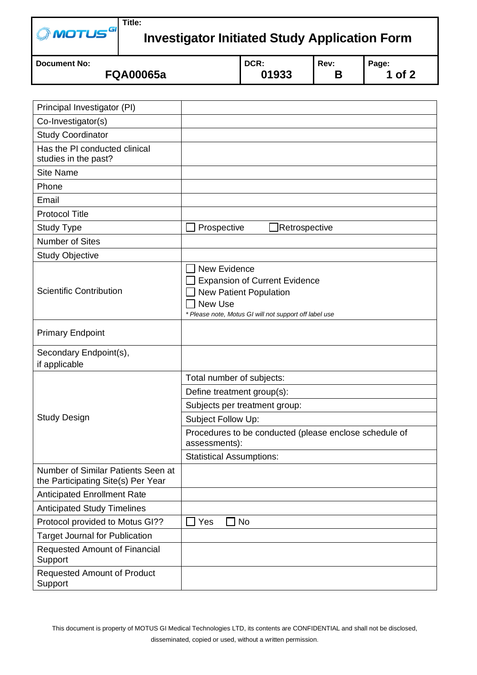| $\oslash$ MOTUS $^{GI}$ <sup>Title:</sup> |                                                      |
|-------------------------------------------|------------------------------------------------------|
|                                           | <b>Investigator Initiated Study Application Form</b> |
|                                           |                                                      |

| <b>I Document No:</b> | DCR:  | Rev: | Page: |
|-----------------------|-------|------|-------|
| <b>FQA00065a</b>      | 01933 |      | of 2  |

| Principal Investigator (PI)                                              |                                                                                                                                                                          |  |  |  |
|--------------------------------------------------------------------------|--------------------------------------------------------------------------------------------------------------------------------------------------------------------------|--|--|--|
| Co-Investigator(s)                                                       |                                                                                                                                                                          |  |  |  |
| <b>Study Coordinator</b>                                                 |                                                                                                                                                                          |  |  |  |
| Has the PI conducted clinical<br>studies in the past?                    |                                                                                                                                                                          |  |  |  |
| <b>Site Name</b>                                                         |                                                                                                                                                                          |  |  |  |
| Phone                                                                    |                                                                                                                                                                          |  |  |  |
| Email                                                                    |                                                                                                                                                                          |  |  |  |
| <b>Protocol Title</b>                                                    |                                                                                                                                                                          |  |  |  |
| <b>Study Type</b>                                                        | Prospective<br>Retrospective                                                                                                                                             |  |  |  |
| <b>Number of Sites</b>                                                   |                                                                                                                                                                          |  |  |  |
| <b>Study Objective</b>                                                   |                                                                                                                                                                          |  |  |  |
| <b>Scientific Contribution</b>                                           | <b>New Evidence</b><br><b>Expansion of Current Evidence</b><br><b>New Patient Population</b><br><b>New Use</b><br>* Please note, Motus GI will not support off label use |  |  |  |
| <b>Primary Endpoint</b>                                                  |                                                                                                                                                                          |  |  |  |
| Secondary Endpoint(s),<br>if applicable                                  |                                                                                                                                                                          |  |  |  |
|                                                                          | Total number of subjects:                                                                                                                                                |  |  |  |
|                                                                          | Define treatment group(s):                                                                                                                                               |  |  |  |
|                                                                          | Subjects per treatment group:                                                                                                                                            |  |  |  |
| <b>Study Design</b>                                                      | Subject Follow Up:                                                                                                                                                       |  |  |  |
|                                                                          | Procedures to be conducted (please enclose schedule of<br>assessments):                                                                                                  |  |  |  |
|                                                                          | <b>Statistical Assumptions:</b>                                                                                                                                          |  |  |  |
| Number of Similar Patients Seen at<br>the Participating Site(s) Per Year |                                                                                                                                                                          |  |  |  |
| <b>Anticipated Enrollment Rate</b>                                       |                                                                                                                                                                          |  |  |  |
| <b>Anticipated Study Timelines</b>                                       |                                                                                                                                                                          |  |  |  |
| Protocol provided to Motus GI??                                          | Yes<br><b>No</b>                                                                                                                                                         |  |  |  |
| <b>Target Journal for Publication</b>                                    |                                                                                                                                                                          |  |  |  |
|                                                                          |                                                                                                                                                                          |  |  |  |
| <b>Requested Amount of Financial</b><br>Support                          |                                                                                                                                                                          |  |  |  |

This document is property of MOTUS GI [Medical Technologies LTD,](http://www.ngtnazareth.com/ViewProject.asp?i=19) its contents are CONFIDENTIAL and shall not be disclosed, disseminated, copied or used, without a written permission .